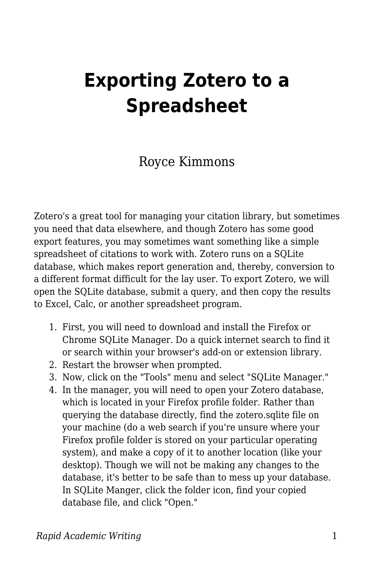## **Exporting Zotero to a Spreadsheet**

Royce Kimmons

Zotero's a great tool for managing your citation library, but sometimes you need that data elsewhere, and though Zotero has some good export features, you may sometimes want something like a simple spreadsheet of citations to work with. Zotero runs on a SQLite database, which makes report generation and, thereby, conversion to a different format difficult for the lay user. To export Zotero, we will open the SQLite database, submit a query, and then copy the results to Excel, Calc, or another spreadsheet program.

- 1. First, you will need to download and install the Firefox or Chrome SQLite Manager. Do a quick internet search to find it or search within your browser's add-on or extension library.
- 2. Restart the browser when prompted.
- 3. Now, click on the "Tools" menu and select "SQLite Manager."
- 4. In the manager, you will need to open your Zotero database, which is located in your Firefox profile folder. Rather than querying the database directly, find the zotero.sqlite file on your machine (do a web search if you're unsure where your Firefox profile folder is stored on your particular operating system), and make a copy of it to another location (like your desktop). Though we will not be making any changes to the database, it's better to be safe than to mess up your database. In SQLite Manger, click the folder icon, find your copied database file, and click "Open."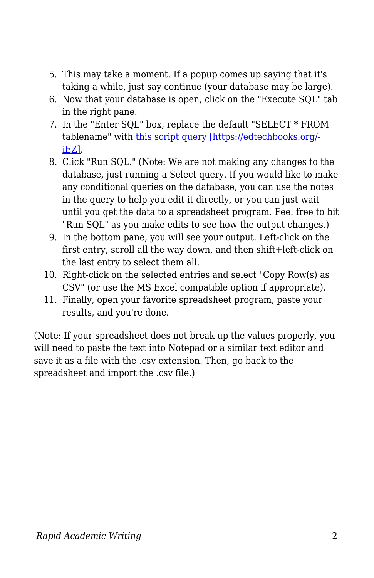- 5. This may take a moment. If a popup comes up saying that it's taking a while, just say continue (your database may be large).
- 6. Now that your database is open, click on the "Execute SQL" tab in the right pane.
- 7. In the "Enter SQL" box, replace the default "SELECT \* FROM tablename" with [this script query \[https://edtechbooks.org/](https://github.com/RoyceKimmons/Zotero-to-Excel-SQLite-Export/blob/master/export.sql) [iEZ\]](https://github.com/RoyceKimmons/Zotero-to-Excel-SQLite-Export/blob/master/export.sql).
- 8. Click "Run SQL." (Note: We are not making any changes to the database, just running a Select query. If you would like to make any conditional queries on the database, you can use the notes in the query to help you edit it directly, or you can just wait until you get the data to a spreadsheet program. Feel free to hit "Run SQL" as you make edits to see how the output changes.)
- 9. In the bottom pane, you will see your output. Left-click on the first entry, scroll all the way down, and then shift+left-click on the last entry to select them all.
- 10. Right-click on the selected entries and select "Copy Row(s) as CSV" (or use the MS Excel compatible option if appropriate).
- 11. Finally, open your favorite spreadsheet program, paste your results, and you're done.

(Note: If your spreadsheet does not break up the values properly, you will need to paste the text into Notepad or a similar text editor and save it as a file with the .csv extension. Then, go back to the spreadsheet and import the .csv file.)